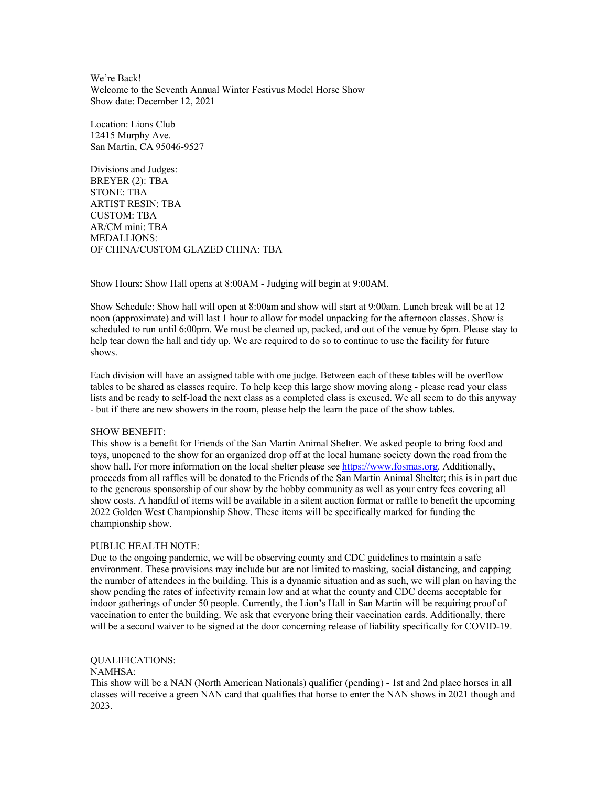We're Back! Welcome to the Seventh Annual Winter Festivus Model Horse Show Show date: December 12, 2021

Location: Lions Club 12415 Murphy Ave. San Martin, CA 95046-9527

Divisions and Judges: BREYER (2): TBA STONE: TBA ARTIST RESIN: TBA CUSTOM: TBA AR/CM mini: TBA MEDALLIONS: OF CHINA/CUSTOM GLAZED CHINA: TBA

Show Hours: Show Hall opens at 8:00AM - Judging will begin at 9:00AM.

Show Schedule: Show hall will open at 8:00am and show will start at 9:00am. Lunch break will be at 12 noon (approximate) and will last 1 hour to allow for model unpacking for the afternoon classes. Show is scheduled to run until 6:00pm. We must be cleaned up, packed, and out of the venue by 6pm. Please stay to help tear down the hall and tidy up. We are required to do so to continue to use the facility for future shows.

Each division will have an assigned table with one judge. Between each of these tables will be overflow tables to be shared as classes require. To help keep this large show moving along - please read your class lists and be ready to self-load the next class as a completed class is excused. We all seem to do this anyway - but if there are new showers in the room, please help the learn the pace of the show tables.

#### SHOW BENEFIT:

This show is a benefit for Friends of the San Martin Animal Shelter. We asked people to bring food and toys, unopened to the show for an organized drop off at the local humane society down the road from the show hall. For more information on the local shelter please see https://www.fosmas.org. Additionally, proceeds from all raffles will be donated to the Friends of the San Martin Animal Shelter; this is in part due to the generous sponsorship of our show by the hobby community as well as your entry fees covering all show costs. A handful of items will be available in a silent auction format or raffle to benefit the upcoming 2022 Golden West Championship Show. These items will be specifically marked for funding the championship show.

# PUBLIC HEALTH NOTE:

Due to the ongoing pandemic, we will be observing county and CDC guidelines to maintain a safe environment. These provisions may include but are not limited to masking, social distancing, and capping the number of attendees in the building. This is a dynamic situation and as such, we will plan on having the show pending the rates of infectivity remain low and at what the county and CDC deems acceptable for indoor gatherings of under 50 people. Currently, the Lion's Hall in San Martin will be requiring proof of vaccination to enter the building. We ask that everyone bring their vaccination cards. Additionally, there will be a second waiver to be signed at the door concerning release of liability specifically for COVID-19.

## QUALIFICATIONS:

#### NAMHSA:

This show will be a NAN (North American Nationals) qualifier (pending) - 1st and 2nd place horses in all classes will receive a green NAN card that qualifies that horse to enter the NAN shows in 2021 though and 2023.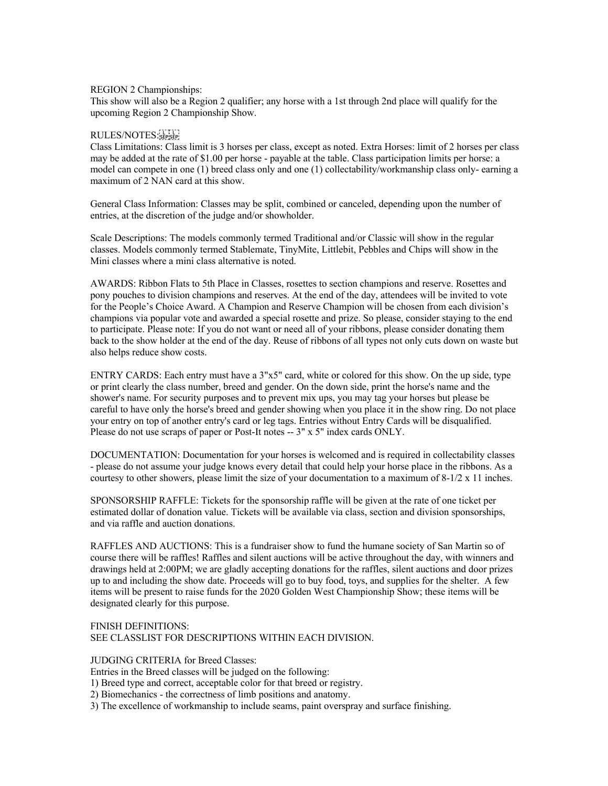# REGION 2 Championships:

This show will also be a Region 2 qualifier; any horse with a 1st through 2nd place will qualify for the upcoming Region 2 Championship Show.

# RULES/NOTES: SEPISEP

Class Limitations: Class limit is 3 horses per class, except as noted. Extra Horses: limit of 2 horses per class may be added at the rate of \$1.00 per horse - payable at the table. Class participation limits per horse: a model can compete in one (1) breed class only and one (1) collectability/workmanship class only- earning a maximum of 2 NAN card at this show.

General Class Information: Classes may be split, combined or canceled, depending upon the number of entries, at the discretion of the judge and/or showholder.

Scale Descriptions: The models commonly termed Traditional and/or Classic will show in the regular classes. Models commonly termed Stablemate, TinyMite, Littlebit, Pebbles and Chips will show in the Mini classes where a mini class alternative is noted.

AWARDS: Ribbon Flats to 5th Place in Classes, rosettes to section champions and reserve. Rosettes and pony pouches to division champions and reserves. At the end of the day, attendees will be invited to vote for the People's Choice Award. A Champion and Reserve Champion will be chosen from each division's champions via popular vote and awarded a special rosette and prize. So please, consider staying to the end to participate. Please note: If you do not want or need all of your ribbons, please consider donating them back to the show holder at the end of the day. Reuse of ribbons of all types not only cuts down on waste but also helps reduce show costs.

ENTRY CARDS: Each entry must have a 3"x5" card, white or colored for this show. On the up side, type or print clearly the class number, breed and gender. On the down side, print the horse's name and the shower's name. For security purposes and to prevent mix ups, you may tag your horses but please be careful to have only the horse's breed and gender showing when you place it in the show ring. Do not place your entry on top of another entry's card or leg tags. Entries without Entry Cards will be disqualified. Please do not use scraps of paper or Post-It notes -- 3" x 5" index cards ONLY.

DOCUMENTATION: Documentation for your horses is welcomed and is required in collectability classes - please do not assume your judge knows every detail that could help your horse place in the ribbons. As a courtesy to other showers, please limit the size of your documentation to a maximum of 8-1/2 x 11 inches.

SPONSORSHIP RAFFLE: Tickets for the sponsorship raffle will be given at the rate of one ticket per estimated dollar of donation value. Tickets will be available via class, section and division sponsorships, and via raffle and auction donations.

RAFFLES AND AUCTIONS: This is a fundraiser show to fund the humane society of San Martin so of course there will be raffles! Raffles and silent auctions will be active throughout the day, with winners and drawings held at 2:00PM; we are gladly accepting donations for the raffles, silent auctions and door prizes up to and including the show date. Proceeds will go to buy food, toys, and supplies for the shelter. A few items will be present to raise funds for the 2020 Golden West Championship Show; these items will be designated clearly for this purpose.

# FINISH DEFINITIONS: SEE CLASSLIST FOR DESCRIPTIONS WITHIN EACH DIVISION.

## JUDGING CRITERIA for Breed Classes:

Entries in the Breed classes will be judged on the following:

- 1) Breed type and correct, acceptable color for that breed or registry.
- 2) Biomechanics the correctness of limb positions and anatomy.
- 3) The excellence of workmanship to include seams, paint overspray and surface finishing.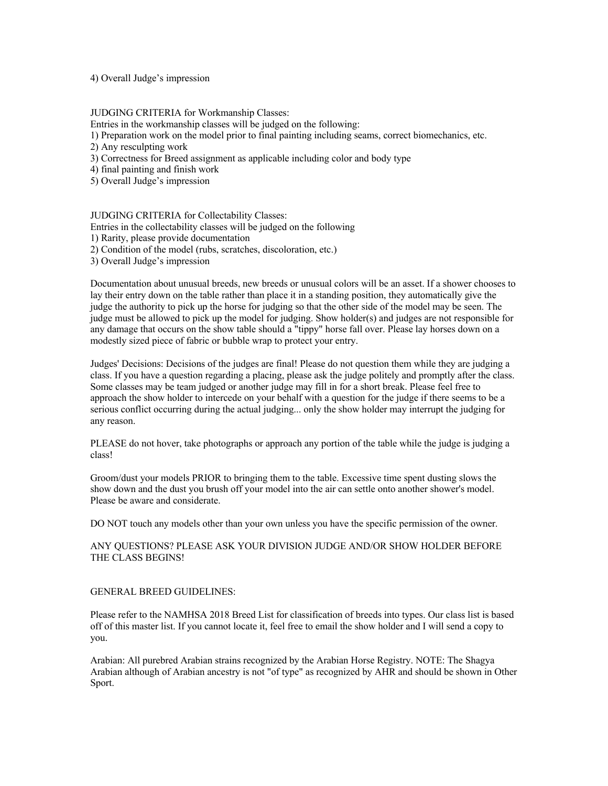#### 4) Overall Judge's impression

#### JUDGING CRITERIA for Workmanship Classes:

Entries in the workmanship classes will be judged on the following:

1) Preparation work on the model prior to final painting including seams, correct biomechanics, etc.

2) Any resculpting work

3) Correctness for Breed assignment as applicable including color and body type

4) final painting and finish work

5) Overall Judge's impression

#### JUDGING CRITERIA for Collectability Classes:

Entries in the collectability classes will be judged on the following

1) Rarity, please provide documentation

2) Condition of the model (rubs, scratches, discoloration, etc.)

3) Overall Judge's impression

Documentation about unusual breeds, new breeds or unusual colors will be an asset. If a shower chooses to lay their entry down on the table rather than place it in a standing position, they automatically give the judge the authority to pick up the horse for judging so that the other side of the model may be seen. The judge must be allowed to pick up the model for judging. Show holder(s) and judges are not responsible for any damage that occurs on the show table should a "tippy" horse fall over. Please lay horses down on a modestly sized piece of fabric or bubble wrap to protect your entry.

Judges' Decisions: Decisions of the judges are final! Please do not question them while they are judging a class. If you have a question regarding a placing, please ask the judge politely and promptly after the class. Some classes may be team judged or another judge may fill in for a short break. Please feel free to approach the show holder to intercede on your behalf with a question for the judge if there seems to be a serious conflict occurring during the actual judging... only the show holder may interrupt the judging for any reason.

PLEASE do not hover, take photographs or approach any portion of the table while the judge is judging a class!

Groom/dust your models PRIOR to bringing them to the table. Excessive time spent dusting slows the show down and the dust you brush off your model into the air can settle onto another shower's model. Please be aware and considerate.

DO NOT touch any models other than your own unless you have the specific permission of the owner.

# ANY QUESTIONS? PLEASE ASK YOUR DIVISION JUDGE AND/OR SHOW HOLDER BEFORE THE CLASS BEGINS!

### GENERAL BREED GUIDELINES:

Please refer to the NAMHSA 2018 Breed List for classification of breeds into types. Our class list is based off of this master list. If you cannot locate it, feel free to email the show holder and I will send a copy to you.

Arabian: All purebred Arabian strains recognized by the Arabian Horse Registry. NOTE: The Shagya Arabian although of Arabian ancestry is not "of type" as recognized by AHR and should be shown in Other Sport.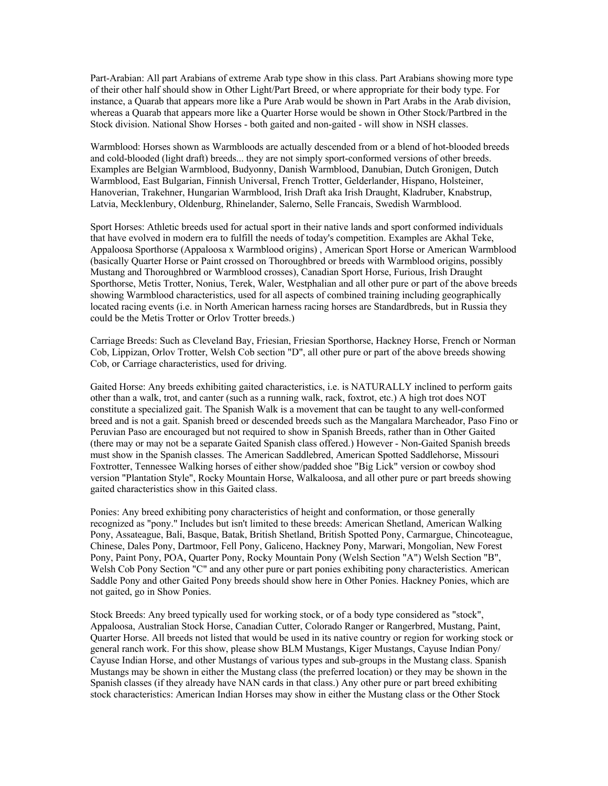Part-Arabian: All part Arabians of extreme Arab type show in this class. Part Arabians showing more type of their other half should show in Other Light/Part Breed, or where appropriate for their body type. For instance, a Quarab that appears more like a Pure Arab would be shown in Part Arabs in the Arab division, whereas a Quarab that appears more like a Quarter Horse would be shown in Other Stock/Partbred in the Stock division. National Show Horses - both gaited and non-gaited - will show in NSH classes.

Warmblood: Horses shown as Warmbloods are actually descended from or a blend of hot-blooded breeds and cold-blooded (light draft) breeds... they are not simply sport-conformed versions of other breeds. Examples are Belgian Warmblood, Budyonny, Danish Warmblood, Danubian, Dutch Gronigen, Dutch Warmblood, East Bulgarian, Finnish Universal, French Trotter, Gelderlander, Hispano, Holsteiner, Hanoverian, Trakehner, Hungarian Warmblood, Irish Draft aka Irish Draught, Kladruber, Knabstrup, Latvia, Mecklenbury, Oldenburg, Rhinelander, Salerno, Selle Francais, Swedish Warmblood.

Sport Horses: Athletic breeds used for actual sport in their native lands and sport conformed individuals that have evolved in modern era to fulfill the needs of today's competition. Examples are Akhal Teke, Appaloosa Sporthorse (Appaloosa x Warmblood origins) , American Sport Horse or American Warmblood (basically Quarter Horse or Paint crossed on Thoroughbred or breeds with Warmblood origins, possibly Mustang and Thoroughbred or Warmblood crosses), Canadian Sport Horse, Furious, Irish Draught Sporthorse, Metis Trotter, Nonius, Terek, Waler, Westphalian and all other pure or part of the above breeds showing Warmblood characteristics, used for all aspects of combined training including geographically located racing events (i.e. in North American harness racing horses are Standardbreds, but in Russia they could be the Metis Trotter or Orlov Trotter breeds.)

Carriage Breeds: Such as Cleveland Bay, Friesian, Friesian Sporthorse, Hackney Horse, French or Norman Cob, Lippizan, Orlov Trotter, Welsh Cob section "D", all other pure or part of the above breeds showing Cob, or Carriage characteristics, used for driving.

Gaited Horse: Any breeds exhibiting gaited characteristics, i.e. is NATURALLY inclined to perform gaits other than a walk, trot, and canter (such as a running walk, rack, foxtrot, etc.) A high trot does NOT constitute a specialized gait. The Spanish Walk is a movement that can be taught to any well-conformed breed and is not a gait. Spanish breed or descended breeds such as the Mangalara Marcheador, Paso Fino or Peruvian Paso are encouraged but not required to show in Spanish Breeds, rather than in Other Gaited (there may or may not be a separate Gaited Spanish class offered.) However - Non-Gaited Spanish breeds must show in the Spanish classes. The American Saddlebred, American Spotted Saddlehorse, Missouri Foxtrotter, Tennessee Walking horses of either show/padded shoe "Big Lick" version or cowboy shod version "Plantation Style", Rocky Mountain Horse, Walkaloosa, and all other pure or part breeds showing gaited characteristics show in this Gaited class.

Ponies: Any breed exhibiting pony characteristics of height and conformation, or those generally recognized as "pony." Includes but isn't limited to these breeds: American Shetland, American Walking Pony, Assateague, Bali, Basque, Batak, British Shetland, British Spotted Pony, Carmargue, Chincoteague, Chinese, Dales Pony, Dartmoor, Fell Pony, Galiceno, Hackney Pony, Marwari, Mongolian, New Forest Pony, Paint Pony, POA, Quarter Pony, Rocky Mountain Pony (Welsh Section "A") Welsh Section "B", Welsh Cob Pony Section "C" and any other pure or part ponies exhibiting pony characteristics. American Saddle Pony and other Gaited Pony breeds should show here in Other Ponies. Hackney Ponies, which are not gaited, go in Show Ponies.

Stock Breeds: Any breed typically used for working stock, or of a body type considered as "stock", Appaloosa, Australian Stock Horse, Canadian Cutter, Colorado Ranger or Rangerbred, Mustang, Paint, Quarter Horse. All breeds not listed that would be used in its native country or region for working stock or general ranch work. For this show, please show BLM Mustangs, Kiger Mustangs, Cayuse Indian Pony/ Cayuse Indian Horse, and other Mustangs of various types and sub-groups in the Mustang class. Spanish Mustangs may be shown in either the Mustang class (the preferred location) or they may be shown in the Spanish classes (if they already have NAN cards in that class.) Any other pure or part breed exhibiting stock characteristics: American Indian Horses may show in either the Mustang class or the Other Stock